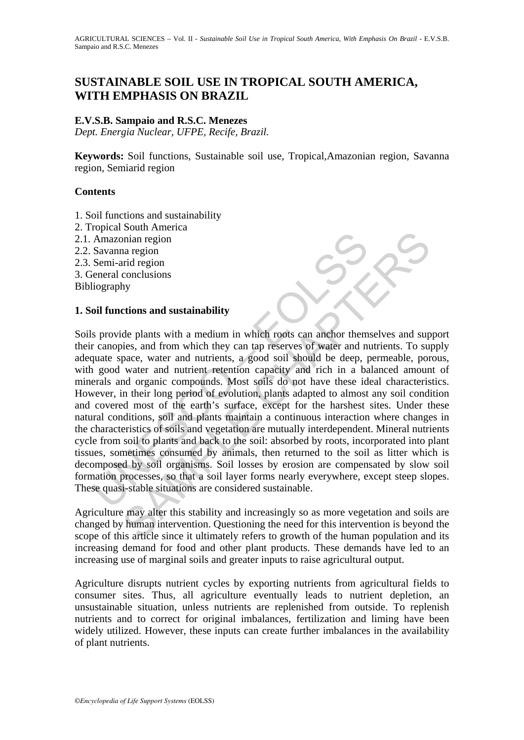# **SUSTAINABLE SOIL USE IN TROPICAL SOUTH AMERICA, WITH EMPHASIS ON BRAZIL**

### **E.V.S.B. Sampaio and R.S.C. Menezes**

*Dept. Energia Nuclear, UFPE, Recife, Brazil.* 

**Keywords:** Soil functions, Sustainable soil use, Tropical,Amazonian region, Savanna region, Semiarid region

### **Contents**

- 1. Soil functions and sustainability
- 2. Tropical South America
- 2.1. Amazonian region
- 2.2. Savanna region
- 2.3. Semi-arid region
- 3. General conclusions

Bibliography

### **1. Soil functions and sustainability**

Amazonian region<br>
Savanna region<br>
Savanna region<br>
Semi-arid region<br>
Semi-arid region<br>
Semi-arid region<br>
ilegraphy<br>
oil functions and sustainability<br>
s provide plants with a medium in which roots can ane<br>hor teamples, and f Social metastration and **Social metastration**<br>
Social metastration<br>
The conclusions<br>
and region<br>
an region<br>
conclusions<br>
Appare conclusions<br>
Appare conclusions<br>
Appare conclusions<br>
Appare conce, water and nutrients, a good Soils provide plants with a medium in which roots can anchor themselves and support their canopies, and from which they can tap reserves of water and nutrients. To supply adequate space, water and nutrients, a good soil should be deep, permeable, porous, with good water and nutrient retention capacity and rich in a balanced amount of minerals and organic compounds. Most soils do not have these ideal characteristics. However, in their long period of evolution, plants adapted to almost any soil condition and covered most of the earth's surface, except for the harshest sites. Under these natural conditions, soil and plants maintain a continuous interaction where changes in the characteristics of soils and vegetation are mutually interdependent. Mineral nutrients cycle from soil to plants and back to the soil: absorbed by roots, incorporated into plant tissues, sometimes consumed by animals, then returned to the soil as litter which is decomposed by soil organisms. Soil losses by erosion are compensated by slow soil formation processes, so that a soil layer forms nearly everywhere, except steep slopes. These quasi-stable situations are considered sustainable.

Agriculture may alter this stability and increasingly so as more vegetation and soils are changed by human intervention. Questioning the need for this intervention is beyond the scope of this article since it ultimately refers to growth of the human population and its increasing demand for food and other plant products. These demands have led to an increasing use of marginal soils and greater inputs to raise agricultural output.

Agriculture disrupts nutrient cycles by exporting nutrients from agricultural fields to consumer sites. Thus, all agriculture eventually leads to nutrient depletion, an unsustainable situation, unless nutrients are replenished from outside. To replenish nutrients and to correct for original imbalances, fertilization and liming have been widely utilized. However, these inputs can create further imbalances in the availability of plant nutrients.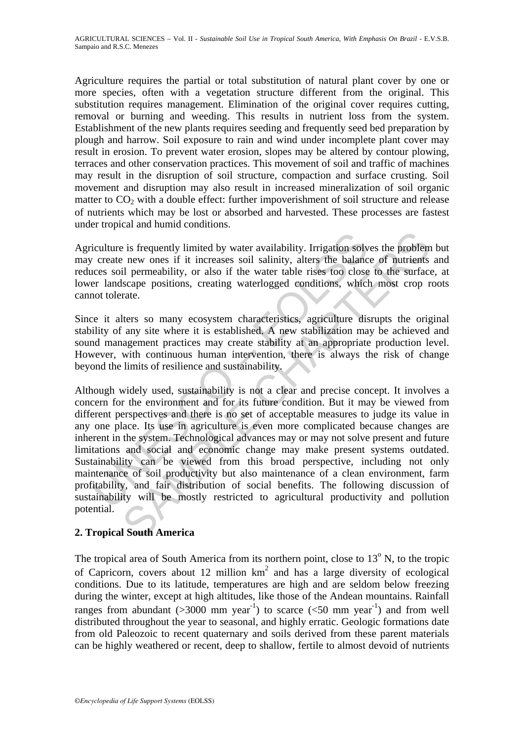Agriculture requires the partial or total substitution of natural plant cover by one or more species, often with a vegetation structure different from the original. This substitution requires management. Elimination of the original cover requires cutting, removal or burning and weeding. This results in nutrient loss from the system. Establishment of the new plants requires seeding and frequently seed bed preparation by plough and harrow. Soil exposure to rain and wind under incomplete plant cover may result in erosion. To prevent water erosion, slopes may be altered by contour plowing, terraces and other conservation practices. This movement of soil and traffic of machines may result in the disruption of soil structure, compaction and surface crusting. Soil movement and disruption may also result in increased mineralization of soil organic matter to  $CO<sub>2</sub>$  with a double effect: further impoverishment of soil structure and release of nutrients which may be lost or absorbed and harvested. These processes are fastest under tropical and humid conditions.

Agriculture is frequently limited by water availability. Irrigation solves the problem but may create new ones if it increases soil salinity, alters the balance of nutrients and reduces soil permeability, or also if the water table rises too close to the surface, at lower landscape positions, creating waterlogged conditions, which most crop roots cannot tolerate.

Since it alters so many ecosystem characteristics, agriculture disrupts the original stability of any site where it is established. A new stabilization may be achieved and sound management practices may create stability at an appropriate production level. However, with continuous human intervention, there is always the risk of change beyond the limits of resilience and sustainability.

iculture is frequently limited by water availability. Irrigation solv<br>create new ones if it increases soil salinity, alters the balanc<br>cces soil permeability, or also if the water table rises too close<br>er landscape positio is its frequently limited by water availability. Irrigation solves the problem<br>
new ones if it increases soil salinity, alters the balance of nutrients<br>
il permeability, or also if the water table rises too close to the su Although widely used, sustainability is not a clear and precise concept. It involves a concern for the environment and for its future condition. But it may be viewed from different perspectives and there is no set of acceptable measures to judge its value in any one place. Its use in agriculture is even more complicated because changes are inherent in the system. Technological advances may or may not solve present and future limitations and social and economic change may make present systems outdated. Sustainability can be viewed from this broad perspective, including not only maintenance of soil productivity but also maintenance of a clean environment, farm profitability, and fair distribution of social benefits. The following discussion of sustainability will be mostly restricted to agricultural productivity and pollution potential.

# **2. Tropical South America**

The tropical area of South America from its northern point, close to  $13^{\circ}$  N, to the tropic of Capricorn, covers about 12 million  $km^2$  and has a large diversity of ecological conditions. Due to its latitude, temperatures are high and are seldom below freezing during the winter, except at high altitudes, like those of the Andean mountains. Rainfall ranges from abundant ( $>3000$  mm year<sup>-1</sup>) to scarce ( $<50$  mm year<sup>-1</sup>) and from well distributed throughout the year to seasonal, and highly erratic. Geologic formations date from old Paleozoic to recent quaternary and soils derived from these parent materials can be highly weathered or recent, deep to shallow, fertile to almost devoid of nutrients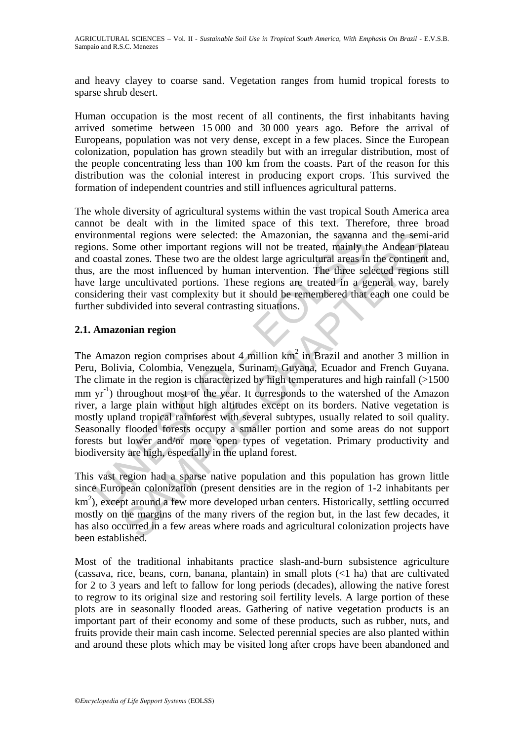and heavy clayey to coarse sand. Vegetation ranges from humid tropical forests to sparse shrub desert.

Human occupation is the most recent of all continents, the first inhabitants having arrived sometime between 15 000 and 30 000 years ago. Before the arrival of Europeans, population was not very dense, except in a few places. Since the European colonization, population has grown steadily but with an irregular distribution, most of the people concentrating less than 100 km from the coasts. Part of the reason for this distribution was the colonial interest in producing export crops. This survived the formation of independent countries and still influences agricultural patterns.

The whole diversity of agricultural systems within the vast tropical South America area cannot be dealt with in the limited space of this text. Therefore, three broad environmental regions were selected: the Amazonian, the savanna and the semi-arid regions. Some other important regions will not be treated, mainly the Andean plateau and coastal zones. These two are the oldest large agricultural areas in the continent and, thus, are the most influenced by human intervention. The three selected regions still have large uncultivated portions. These regions are treated in a general way, barely considering their vast complexity but it should be remembered that each one could be further subdivided into several contrasting situations.

## **2.1. Amazonian region**

ironmental regions were selected: the Amazonian, the savanna<br>
ons. Some other important regions will not be treated, mainly tl<br>
coastal zones. These two are the oldest large agricultural areas im<br>
, are the most influenced ntal regions were selected: the Amazonian, the savanna and the semi-<br>me other important regions will not be treated, mainly the Andean pla<br>
incones. These two are the oldest large agricultural areas in the continent<br>he mo The Amazon region comprises about 4 million  $km^2$  in Brazil and another 3 million in Peru, Bolivia, Colombia, Venezuela, Surinam, Guyana, Ecuador and French Guyana. The climate in the region is characterized by high temperatures and high rainfall  $(>1500$ mm yr<sup>-1</sup>) throughout most of the year. It corresponds to the watershed of the Amazon river, a large plain without high altitudes except on its borders. Native vegetation is mostly upland tropical rainforest with several subtypes, usually related to soil quality. Seasonally flooded forests occupy a smaller portion and some areas do not support forests but lower and/or more open types of vegetation. Primary productivity and biodiversity are high, especially in the upland forest.

This vast region had a sparse native population and this population has grown little since European colonization (present densities are in the region of 1-2 inhabitants per  $km<sup>2</sup>$ ), except around a few more developed urban centers. Historically, settling occurred mostly on the margins of the many rivers of the region but, in the last few decades, it has also occurred in a few areas where roads and agricultural colonization projects have been established.

Most of the traditional inhabitants practice slash-and-burn subsistence agriculture (cassava, rice, beans, corn, banana, plantain) in small plots (<1 ha) that are cultivated for 2 to 3 years and left to fallow for long periods (decades), allowing the native forest to regrow to its original size and restoring soil fertility levels. A large portion of these plots are in seasonally flooded areas. Gathering of native vegetation products is an important part of their economy and some of these products, such as rubber, nuts, and fruits provide their main cash income. Selected perennial species are also planted within and around these plots which may be visited long after crops have been abandoned and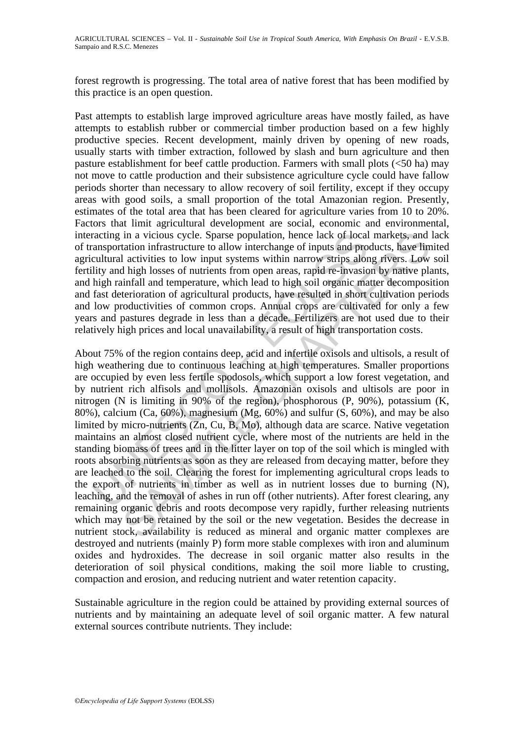forest regrowth is progressing. The total area of native forest that has been modified by this practice is an open question.

Past attempts to establish large improved agriculture areas have mostly failed, as have attempts to establish rubber or commercial timber production based on a few highly productive species. Recent development, mainly driven by opening of new roads, usually starts with timber extraction, followed by slash and burn agriculture and then pasture establishment for beef cattle production. Farmers with small plots (<50 ha) may not move to cattle production and their subsistence agriculture cycle could have fallow periods shorter than necessary to allow recovery of soil fertility, except if they occupy areas with good soils, a small proportion of the total Amazonian region. Presently, estimates of the total area that has been cleared for agriculture varies from 10 to 20%. Factors that limit agricultural development are social, economic and environmental, interacting in a vicious cycle. Sparse population, hence lack of local markets, and lack of transportation infrastructure to allow interchange of inputs and products, have limited agricultural activities to low input systems within narrow strips along rivers. Low soil fertility and high losses of nutrients from open areas, rapid re-invasion by native plants, and high rainfall and temperature, which lead to high soil organic matter decomposition and fast deterioration of agricultural products, have resulted in short cultivation periods and low productivities of common crops. Annual crops are cultivated for only a few years and pastures degrade in less than a decade. Fertilizers are not used due to their relatively high prices and local unavailability, a result of high transportation costs.

racting in a vicious cycle. Sparse population, hence lack of local<br>ansportation infrastructure to allow interchange of inputs and pro<br>cultural activities to low input systems within narrow strips alor<br>cultural activities o in a vicious cycle. Sparse population, hence lack of local markets, and<br>tation infrastructure to allow interchange of inputs and products, have limit<br>at activities to low input systems within narrow strips adong rivers. L About 75% of the region contains deep, acid and infertile oxisols and ultisols, a result of high weathering due to continuous leaching at high temperatures. Smaller proportions are occupied by even less fertile spodosols, which support a low forest vegetation, and by nutrient rich alfisols and mollisols. Amazonian oxisols and ultisols are poor in nitrogen (N is limiting in 90% of the region), phosphorous (P, 90%), potassium (K, 80%), calcium (Ca, 60%), magnesium (Mg, 60%) and sulfur (S, 60%), and may be also limited by micro-nutrients (Zn, Cu, B, Mo), although data are scarce. Native vegetation maintains an almost closed nutrient cycle, where most of the nutrients are held in the standing biomass of trees and in the litter layer on top of the soil which is mingled with roots absorbing nutrients as soon as they are released from decaying matter, before they are leached to the soil. Clearing the forest for implementing agricultural crops leads to the export of nutrients in timber as well as in nutrient losses due to burning (N), leaching, and the removal of ashes in run off (other nutrients). After forest clearing, any remaining organic debris and roots decompose very rapidly, further releasing nutrients which may not be retained by the soil or the new vegetation. Besides the decrease in nutrient stock, availability is reduced as mineral and organic matter complexes are destroyed and nutrients (mainly P) form more stable complexes with iron and aluminum oxides and hydroxides. The decrease in soil organic matter also results in the deterioration of soil physical conditions, making the soil more liable to crusting, compaction and erosion, and reducing nutrient and water retention capacity.

Sustainable agriculture in the region could be attained by providing external sources of nutrients and by maintaining an adequate level of soil organic matter. A few natural external sources contribute nutrients. They include: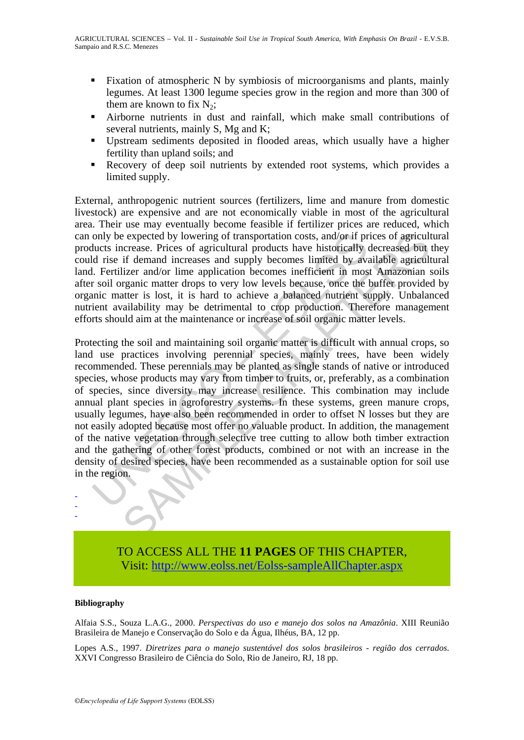- Fixation of atmospheric N by symbiosis of microorganisms and plants, mainly legumes. At least 1300 legume species grow in the region and more than 300 of them are known to fix  $N_2$ ;
- Airborne nutrients in dust and rainfall, which make small contributions of several nutrients, mainly S, Mg and K;
- Upstream sediments deposited in flooded areas, which usually have a higher fertility than upland soils; and
- Recovery of deep soil nutrients by extended root systems, which provides a limited supply.

External, anthropogenic nutrient sources (fertilizers, lime and manure from domestic livestock) are expensive and are not economically viable in most of the agricultural area. Their use may eventually become feasible if fertilizer prices are reduced, which can only be expected by lowering of transportation costs, and/or if prices of agricultural products increase. Prices of agricultural products have historically decreased but they could rise if demand increases and supply becomes limited by available agricultural land. Fertilizer and/or lime application becomes inefficient in most Amazonian soils after soil organic matter drops to very low levels because, once the buffer provided by organic matter is lost, it is hard to achieve a balanced nutrient supply. Unbalanced nutrient availability may be detrimental to crop production. Therefore management efforts should aim at the maintenance or increase of soil organic matter levels.

only be expected by lowering of transportation costs, and/or if pr<br>lucts increase. Prices of agricultural products have historically d<br>distributed in demans and supply becomes limited by avis<br>I. Fertilizer and/or lime appl e expected by lowering of transportation costs, and/or if prices of agricult<br>crease. Prices of agricultural products have historically decreased but<br>if demand increases and supply becomes limited by available agricultizer Protecting the soil and maintaining soil organic matter is difficult with annual crops, so land use practices involving perennial species, mainly trees, have been widely recommended. These perennials may be planted as single stands of native or introduced species, whose products may vary from timber to fruits, or, preferably, as a combination of species, since diversity may increase resilience. This combination may include annual plant species in agroforestry systems. In these systems, green manure crops, usually legumes, have also been recommended in order to offset N losses but they are not easily adopted because most offer no valuable product. In addition, the management of the native vegetation through selective tree cutting to allow both timber extraction and the gathering of other forest products, combined or not with an increase in the density of desired species, have been recommended as a sustainable option for soil use in the region.

> TO ACCESS ALL THE **11 PAGES** OF THIS CHAPTER, Visit[: http://www.eolss.net/Eolss-sampleAllChapter.aspx](https://www.eolss.net/ebooklib/sc_cart.aspx?File=E5-24-05-02)

#### **Bibliography**

- - -

Alfaia S.S., Souza L.A.G., 2000. *Perspectivas do uso e manejo dos solos na Amazônia*. XIII Reunião Brasileira de Manejo e Conservação do Solo e da Água, Ilhéus, BA, 12 pp.

Lopes A.S., 1997. *Diretrizes para o manejo sustentável dos solos brasileiros - região dos cerrados*. XXVI Congresso Brasileiro de Ciência do Solo, Rio de Janeiro, RJ, 18 pp.